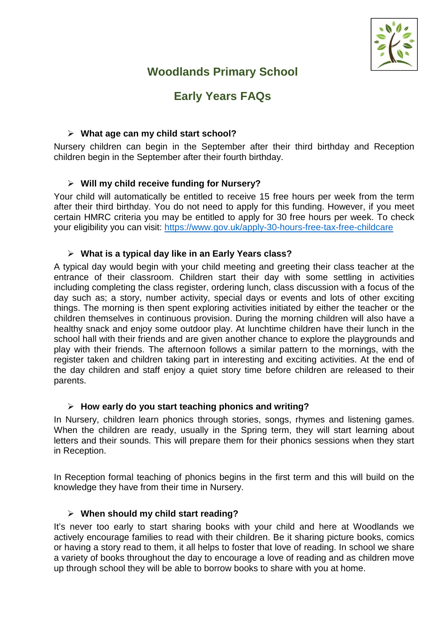

# **Woodlands Primary School**

# **Early Years FAQs**

#### **What age can my child start school?**

Nursery children can begin in the September after their third birthday and Reception children begin in the September after their fourth birthday.

## **Will my child receive funding for Nursery?**

Your child will automatically be entitled to receive 15 free hours per week from the term after their third birthday. You do not need to apply for this funding. However, if you meet certain HMRC criteria you may be entitled to apply for 30 free hours per week. To check your eligibility you can visit: https://www.gov.uk/apply-30-hours-free-tax-free-childcare

#### **What is a typical day like in an Early Years class?**

A typical day would begin with your child meeting and greeting their class teacher at the entrance of their classroom. Children start their day with some settling in activities including completing the class register, ordering lunch, class discussion with a focus of the day such as; a story, number activity, special days or events and lots of other exciting things. The morning is then spent exploring activities initiated by either the teacher or the children themselves in continuous provision. During the morning children will also have a healthy snack and enjoy some outdoor play. At lunchtime children have their lunch in the school hall with their friends and are given another chance to explore the playgrounds and play with their friends. The afternoon follows a similar pattern to the mornings, with the register taken and children taking part in interesting and exciting activities. At the end of the day children and staff enjoy a quiet story time before children are released to their parents.

#### **How early do you start teaching phonics and writing?**

In Nursery, children learn phonics through stories, songs, rhymes and listening games. When the children are ready, usually in the Spring term, they will start learning about letters and their sounds. This will prepare them for their phonics sessions when they start in Reception.

In Reception formal teaching of phonics begins in the first term and this will build on the knowledge they have from their time in Nursery.

#### **When should my child start reading?**

It's never too early to start sharing books with your child and here at Woodlands we actively encourage families to read with their children. Be it sharing picture books, comics or having a story read to them, it all helps to foster that love of reading. In school we share a variety of books throughout the day to encourage a love of reading and as children move up through school they will be able to borrow books to share with you at home.